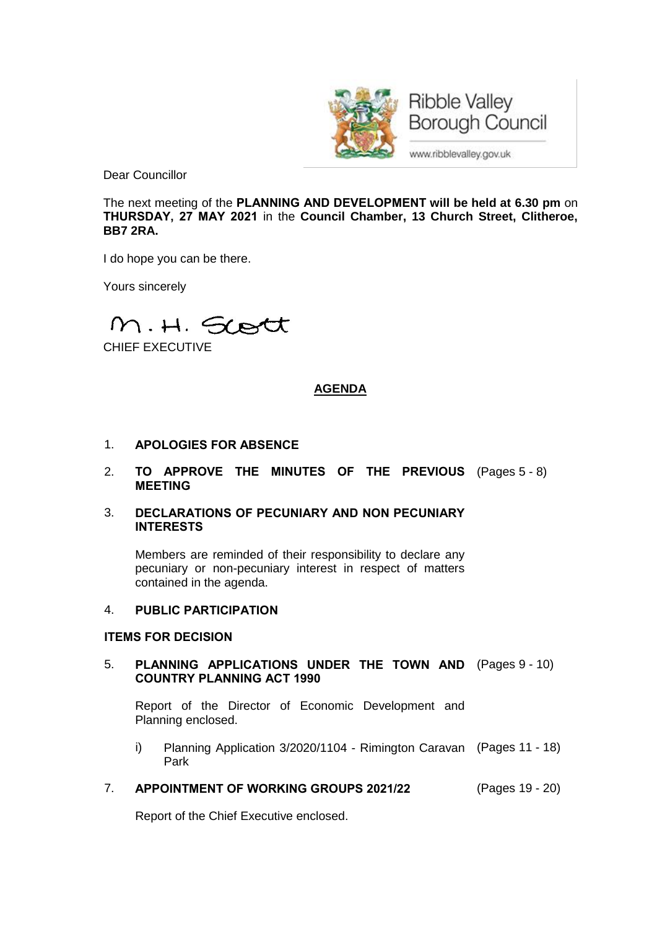

**Borough Council** 

www.ribblevalley.gov.uk

Dear Councillor

The next meeting of the **PLANNING AND DEVELOPMENT will be held at 6.30 pm** on **THURSDAY, 27 MAY 2021** in the **Council Chamber, 13 Church Street, Clitheroe, BB7 2RA.**

I do hope you can be there.

Yours sincerely

M.H. Scott

CHIEF EXECUTIVE

# **AGENDA**

- 1. **APOLOGIES FOR ABSENCE**
- 2. **TO APPROVE THE MINUTES OF THE PREVIOUS** (Pages 5 8) **MEETING**
- 3. **DECLARATIONS OF PECUNIARY AND NON PECUNIARY INTERESTS**

Members are reminded of their responsibility to declare any pecuniary or non-pecuniary interest in respect of matters contained in the agenda.

## 4. **PUBLIC PARTICIPATION**

## **ITEMS FOR DECISION**

5. **PLANNING APPLICATIONS UNDER THE TOWN AND** (Pages 9 - 10) **COUNTRY PLANNING ACT 1990**

Report of the Director of Economic Development and Planning enclosed.

- i) Planning Application 3/2020/1104 Rimington Caravan (Pages 11 18) Park
- 7. **APPOINTMENT OF WORKING GROUPS 2021/22** (Pages 19 20)

Report of the Chief Executive enclosed.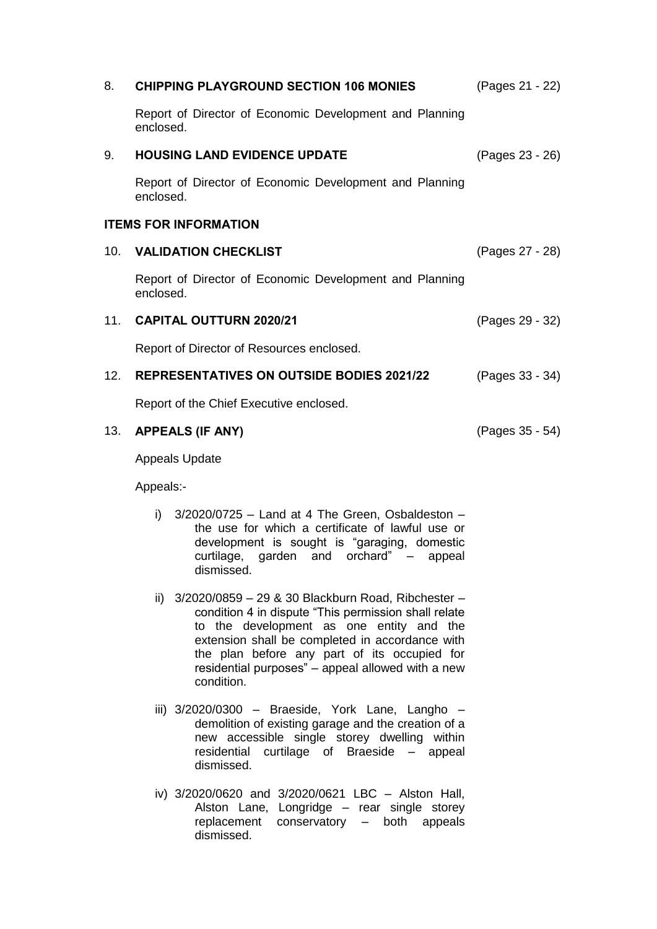| 8.                           | <b>CHIPPING PLAYGROUND SECTION 106 MONIES</b>                        | (Pages 21 - 22) |
|------------------------------|----------------------------------------------------------------------|-----------------|
|                              | Report of Director of Economic Development and Planning<br>enclosed. |                 |
| 9.                           | <b>HOUSING LAND EVIDENCE UPDATE</b>                                  | (Pages 23 - 26) |
|                              | Report of Director of Economic Development and Planning<br>enclosed. |                 |
| <b>ITEMS FOR INFORMATION</b> |                                                                      |                 |
|                              | 10. VALIDATION CHECKLIST                                             | (Pages 27 - 28) |
|                              | Report of Director of Economic Development and Planning<br>enclosed. |                 |
|                              | 11. CAPITAL OUTTURN 2020/21                                          | (Pages 29 - 32) |
|                              | Report of Director of Resources enclosed.                            |                 |
|                              | 12. REPRESENTATIVES ON OUTSIDE BODIES 2021/22                        | (Pages 33 - 34) |
|                              | Report of the Chief Executive enclosed.                              |                 |
| 13.                          | <b>APPEALS (IF ANY)</b>                                              | (Pages 35 - 54) |
|                              | <b>Appeals Update</b>                                                |                 |
|                              | Appeals:-                                                            |                 |

- i)  $3/2020/0725 -$  Land at 4 The Green, Osbaldeston the use for which a certificate of lawful use or development is sought is "garaging, domestic curtilage, garden and orchard" – appeal dismissed.
- ii) 3/2020/0859 29 & 30 Blackburn Road, Ribchester condition 4 in dispute "This permission shall relate to the development as one entity and the extension shall be completed in accordance with the plan before any part of its occupied for residential purposes" – appeal allowed with a new condition.
- iii) 3/2020/0300 Braeside, York Lane, Langho demolition of existing garage and the creation of a new accessible single storey dwelling within residential curtilage of Braeside – appeal dismissed.
- iv) 3/2020/0620 and 3/2020/0621 LBC Alston Hall, Alston Lane, Longridge – rear single storey replacement conservatory – both appeals dismissed.